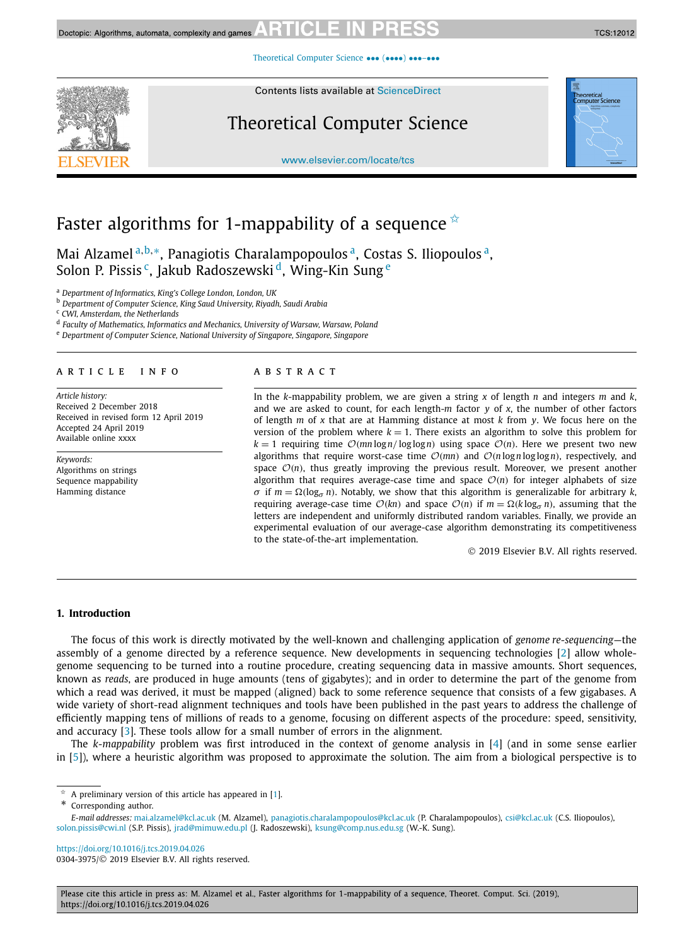[Theoretical Computer Science](https://doi.org/10.1016/j.tcs.2019.04.026) ••• (••••) •••-•••

Contents lists available at [ScienceDirect](http://www.ScienceDirect.com/)

# Theoretical Computer Science

[www.elsevier.com/locate/tcs](http://www.elsevier.com/locate/tcs)



**TCS:12012** 

# Faster algorithms for 1-mappability of a sequence  $\dot{\mathbf{x}}$

Mai Alzamel<sup>a,b,∗</sup>, Panagiotis Charalampopoulos<sup>a</sup>, Costas S. Iliopoulos<sup>a</sup>, Solon P. Pissis<sup>c</sup>, Jakub Radoszewski<sup>d</sup>, Wing-Kin Sung<sup>e</sup>

<sup>a</sup> *Department of Informatics, King's College London, London, UK*

<sup>b</sup> *Department of Computer Science, King Saud University, Riyadh, Saudi Arabia*

<sup>c</sup> *CWI, Amsterdam, the Netherlands*

<sup>d</sup> *Faculty of Mathematics, Informatics and Mechanics, University of Warsaw, Warsaw, Poland*

<sup>e</sup> *Department of Computer Science, National University of Singapore, Singapore, Singapore*

#### A R T I C L E I N F O A B S T R A C T

*Article history:* Received 2 December 2018 Received in revised form 12 April 2019 Accepted 24 April 2019 Available online xxxx

*Keywords:* Algorithms on strings Sequence mappability Hamming distance

In the *k*-mappability problem, we are given a string *x* of length *n* and integers *m* and *k*, and we are asked to count, for each length-*m* factor *y* of *x*, the number of other factors of length *m* of *x* that are at Hamming distance at most *k* from *y*. We focus here on the version of the problem where  $k = 1$ . There exists an algorithm to solve this problem for  $k = 1$  requiring time  $\mathcal{O}(mn \log n / \log \log n)$  using space  $\mathcal{O}(n)$ . Here we present two new algorithms that require worst-case time  $\mathcal{O}(mn)$  and  $\mathcal{O}(n \log n \log \log n)$ , respectively, and space  $O(n)$ , thus greatly improving the previous result. Moreover, we present another algorithm that requires average-case time and space  $O(n)$  for integer alphabets of size *σ* if *m* =  $\Omega(\log_{q} n)$ . Notably, we show that this algorithm is generalizable for arbitrary *k*, requiring average-case time  $O(kn)$  and space  $O(n)$  if  $m = \Omega(k \log_{\sigma} n)$ , assuming that the letters are independent and uniformly distributed random variables. Finally, we provide an experimental evaluation of our average-case algorithm demonstrating its competitiveness to the state-of-the-art implementation.

© 2019 Elsevier B.V. All rights reserved.

#### **1. Introduction**

The focus of this work is directly motivated by the well-known and challenging application of *genome re-sequencing*—the assembly of a genome directed by a reference sequence. New developments in sequencing technologies [\[2\]](#page-9-0) allow wholegenome sequencing to be turned into a routine procedure, creating sequencing data in massive amounts. Short sequences, known as *reads*, are produced in huge amounts (tens of gigabytes); and in order to determine the part of the genome from which a read was derived, it must be mapped (aligned) back to some reference sequence that consists of a few gigabases. A wide variety of short-read alignment techniques and tools have been published in the past years to address the challenge of efficiently mapping tens of millions of reads to a genome, focusing on different aspects of the procedure: speed, sensitivity, and accuracy [\[3\]](#page-9-0). These tools allow for a small number of errors in the alignment.

The *k-mappability* problem was first introduced in the context of genome analysis in [\[4\]](#page-9-0) (and in some sense earlier in [\[5\]](#page-9-0)), where a heuristic algorithm was proposed to approximate the solution. The aim from a biological perspective is to

Corresponding author.

<https://doi.org/10.1016/j.tcs.2019.04.026> 0304-3975/© 2019 Elsevier B.V. All rights reserved.

Please cite this article in press as: M. Alzamel et al., Faster algorithms for 1-mappability of a sequence, Theoret. Comput. Sci. (2019), https://doi.org/10.1016/j.tcs.2019.04.026

A preliminary version of this article has appeared in [\[1\]](#page-9-0).

*E-mail addresses:* [mai.alzamel@kcl.ac.uk](mailto:mai.alzamel@kcl.ac.uk) (M. Alzamel), [panagiotis.charalampopoulos@kcl.ac.uk](mailto:panagiotis.charalampopoulos@kcl.ac.uk) (P. Charalampopoulos), [csi@kcl.ac.uk](mailto:csi@kcl.ac.uk) (C.S. Iliopoulos), [solon.pissis@cwi.nl](mailto:solon.pissis@cwi.nl) (S.P. Pissis), [jrad@mimuw.edu.pl](mailto:jrad@mimuw.edu.pl) (J. Radoszewski), [ksung@comp.nus.edu.sg](mailto:ksung@comp.nus.edu.sg) (W.-K. Sung).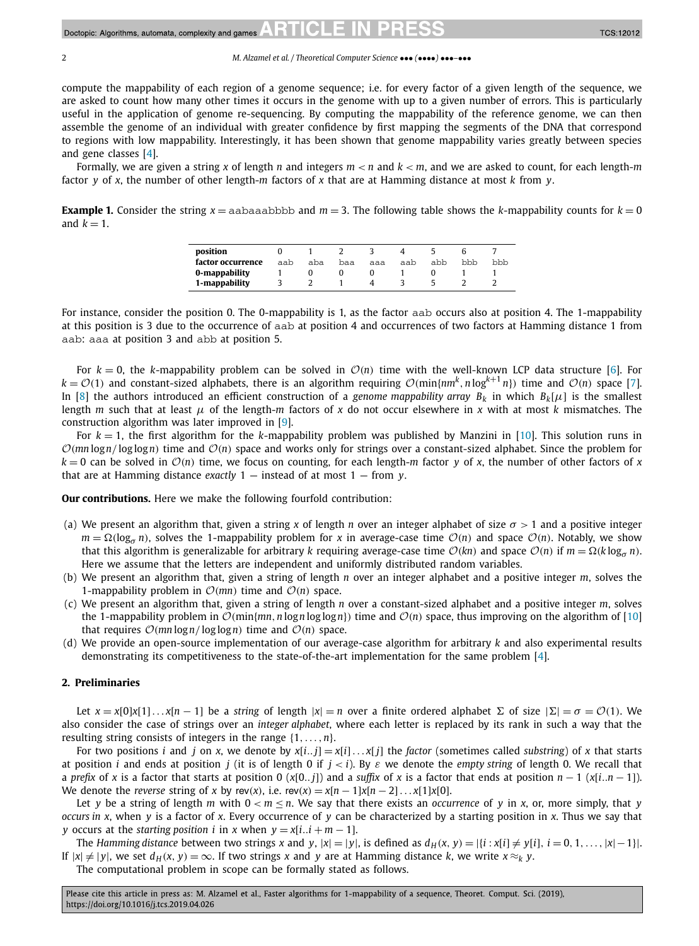### **TCS:12012**

#### 2 *M. Alzamel et al. / Theoretical Computer Science* ••• *(*••••*)* •••*–*•••

compute the mappability of each region of a genome sequence; i.e. for every factor of a given length of the sequence, we are asked to count how many other times it occurs in the genome with up to a given number of errors. This is particularly useful in the application of genome re-sequencing. By computing the mappability of the reference genome, we can then assemble the genome of an individual with greater confidence by first mapping the segments of the DNA that correspond to regions with low mappability. Interestingly, it has been shown that genome mappability varies greatly between species and gene classes [\[4\]](#page-9-0).

Formally, we are given a string *x* of length *n* and integers *m < n* and *k < m*, and we are asked to count, for each length-*m* factor *y* of *x*, the number of other length-*m* factors of *x* that are at Hamming distance at most *k* from *y*.

**Example 1.** Consider the string  $x =$  aabaaabbbb and  $m = 3$ . The following table shows the *k*-mappability counts for  $k = 0$ and  $k = 1$ .

| position          |     |     |     |     |     |     |     |     |
|-------------------|-----|-----|-----|-----|-----|-----|-----|-----|
| factor occurrence | aab | aba | baa | aaa | aab | abb | bbb | bbb |
| 0-mappability     |     |     |     |     |     |     |     |     |
| 1-mappability     |     |     |     |     |     |     |     |     |

For instance, consider the position 0. The 0-mappability is 1, as the factor aab occurs also at position 4. The 1-mappability at this position is 3 due to the occurrence of aab at position 4 and occurrences of two factors at Hamming distance 1 from aab: aaa at position 3 and abb at position 5.

For  $k = 0$ , the *k*-mappability problem can be solved in  $\mathcal{O}(n)$  time with the well-known LCP data structure [\[6\]](#page-9-0). For  $k = \mathcal{O}(1)$  and constant-sized alphabets, there is an algorithm requiring  $\mathcal{O}(min\{nm^k, n\log^{k+1} n\})$  time and  $\mathcal{O}(n)$  space [\[7\]](#page-9-0). In [\[8\]](#page-9-0) the authors introduced an efficient construction of a *genome mappability array*  $B_k$  in which  $B_k[\mu]$  is the smallest length *m* such that at least *μ* of the length-*m* factors of *x* do not occur elsewhere in *x* with at most *k* mismatches. The construction algorithm was later improved in [\[9\]](#page-10-0).

For *k* = 1, the first algorithm for the *k*-mappability problem was published by Manzini in [\[10\]](#page-10-0). This solution runs in  $O(mn \log n / \log \log n)$  time and  $O(n)$  space and works only for strings over a constant-sized alphabet. Since the problem for  $k = 0$  can be solved in  $\mathcal{O}(n)$  time, we focus on counting, for each length-*m* factor *y* of *x*, the number of other factors of *x* that are at Hamming distance *exactly* 1 — instead of at most 1 — from *y*.

**Our contributions.** Here we make the following fourfold contribution:

- (a) We present an algorithm that, given a string *x* of length *n* over an integer alphabet of size  $\sigma > 1$  and a positive integer  $m = \Omega(\log_{\sigma} n)$ , solves the 1-mappability problem for *x* in average-case time  $\mathcal{O}(n)$  and space  $\mathcal{O}(n)$ . Notably, we show that this algorithm is generalizable for arbitrary *k* requiring average-case time  $O(kn)$  and space  $O(n)$  if  $m = \Omega(k \log_{\sigma} n)$ . Here we assume that the letters are independent and uniformly distributed random variables.
- (b) We present an algorithm that, given a string of length *n* over an integer alphabet and a positive integer *m*, solves the 1-mappability problem in  $O(mn)$  time and  $O(n)$  space.
- (c) We present an algorithm that, given a string of length *n* over a constant-sized alphabet and a positive integer *m*, solves the 1-mappability problem in  $\mathcal{O}(\min\{mn, n \log n \log \log n\})$  time and  $\mathcal{O}(n)$  space, thus improving on the algorithm of [\[10\]](#page-10-0) that requires  $O(mn \log n / \log \log n)$  time and  $O(n)$  space.
- (d) We provide an open-source implementation of our average-case algorithm for arbitrary *k* and also experimental results demonstrating its competitiveness to the state-of-the-art implementation for the same problem [\[4\]](#page-9-0).

#### **2. Preliminaries**

Let  $x = x[0]x[1] \dots x[n-1]$  be a *string* of length  $|x| = n$  over a finite ordered alphabet  $\Sigma$  of size  $|\Sigma| = \sigma = \mathcal{O}(1)$ . We also consider the case of strings over an *integer alphabet*, where each letter is replaced by its rank in such a way that the resulting string consists of integers in the range {1*,...,n*}.

For two positions *i* and *j* on *x*, we denote by  $x[i..j] = x[i]...x[j]$  the factor (sometimes called substring) of *x* that starts at position *i* and ends at position *j* (it is of length 0 if *j < i*). By *ε* we denote the *empty string* of length 0. We recall that a *prefix* of *x* is a factor that starts at position 0 ( $x[0..j]$ ) and a *suffix* of *x* is a factor that ends at position  $n-1$  ( $x[i..n-1]$ ). We denote the *reverse* string of *x* by rev(*x*), i.e.  $rev(x) = x[n-1]x[n-2] \dots x[1]x[0]$ .

Let *y* be a string of length *m* with  $0 < m \le n$ . We say that there exists an *occurrence* of *y* in *x*, or, more simply, that *y occurs in x*, when *y* is a factor of *x*. Every occurrence of *y* can be characterized by a starting position in *x*. Thus we say that *y* occurs at the *starting position i* in *x* when  $y = x[i..i + m - 1]$ .

The Hamming distance between two strings x and y,  $|x| = |y|$ , is defined as  $d_H(x, y) = |\{i : x[i] \neq y[i], i = 0, 1, ..., |x| - 1\}|$ . If  $|x| \neq |y|$ , we set  $d_H(x, y) = \infty$ . If two strings *x* and *y* are at Hamming distance *k*, we write  $x \approx_k y$ .

The computational problem in scope can be formally stated as follows.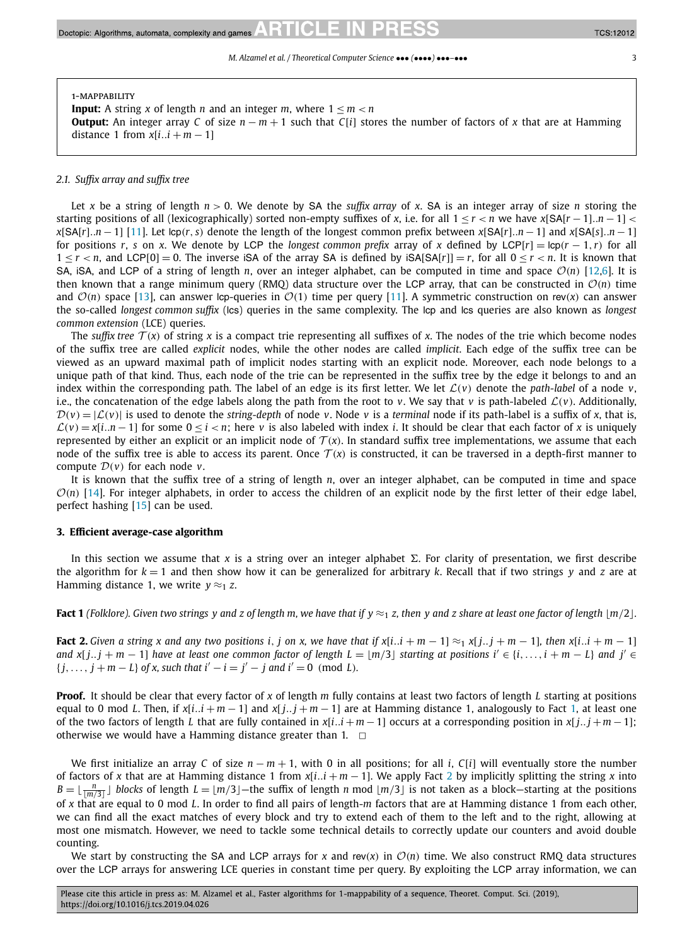#### <span id="page-2-0"></span>1-mappability

**Input:** A string *x* of length *n* and an integer *m*, where  $1 \le m \le n$ **Output:** An integer array *C* of size  $n - m + 1$  such that *C*[*i*] stores the number of factors of *x* that are at Hamming distance 1 from  $x[i..i + m - 1]$ 

#### *2.1. Suffix array and suffix tree*

Let *x* be a string of length  $n > 0$ . We denote by SA the *suffix array* of *x*. SA is an integer array of size *n* storing the starting positions of all (lexicographically) sorted non-empty suffixes of x, i.e. for all  $1 \le r \le n$  we have  $x[SA[r-1], n-1] \le$  $x[SA[r], n-1]$  [\[11\]](#page-10-0), Let  $\text{lop}(r, s)$  denote the length of the longest common prefix between  $x[SA[r], n-1]$  and  $x[SA[s], n-1]$ for positions *r*, *s* on *x*. We denote by LCP the *longest common prefix* array of *x* defined by LCP[*r*] =  $\log(r - 1, r)$  for all  $1 < r < n$ , and LCP[0] = 0. The inverse iSA of the array SA is defined by  $|SASAF| = r$ , for all  $0 < r < n$ . It is known that SA, iSA, and LCP of a string of length *n*, over an integer alphabet, can be computed in time and space  $\mathcal{O}(n)$  [\[12](#page-10-0)[,6\]](#page-9-0). It is then known that a range minimum query (RMO) data structure over the LCP array, that can be constructed in  $\mathcal{O}(n)$  time and  $\mathcal{O}(n)$  space [\[13\]](#page-10-0), can answer lcp-queries in  $\mathcal{O}(1)$  time per query [\[11\]](#page-10-0). A symmetric construction on rev(*x*) can answer the so-called *longest common suffix* (lcs) queries in the same complexity. The lcp and lcs queries are also known as *longest common extension* (LCE) queries.

The *suffix tree*  $T(x)$  of string x is a compact trie representing all suffixes of x. The nodes of the trie which become nodes of the suffix tree are called *explicit* nodes, while the other nodes are called *implicit*. Each edge of the suffix tree can be viewed as an upward maximal path of implicit nodes starting with an explicit node. Moreover, each node belongs to a unique path of that kind. Thus, each node of the trie can be represented in the suffix tree by the edge it belongs to and an index within the corresponding path. The label of an edge is its first letter. We let  $\mathcal{L}(v)$  denote the *path-label* of a node  $v$ , i.e., the concatenation of the edge labels along the path from the root to *v*. We say that *v* is path-labeled  $\mathcal{L}(v)$ . Additionally,  $D(v) = |\mathcal{L}(v)|$  is used to denote the *string-depth* of node *v*. Node *v* is a *terminal* node if its path-label is a suffix of *x*, that is,  $\mathcal{L}(v) = x[i..n-1]$  for some  $0 \le i < n$ ; here *v* is also labeled with index *i*. It should be clear that each factor of *x* is uniquely represented by either an explicit or an implicit node of  $T(x)$ . In standard suffix tree implementations, we assume that each node of the suffix tree is able to access its parent. Once  $\mathcal{T}(x)$  is constructed, it can be traversed in a depth-first manner to compute D*(v)* for each node *<sup>v</sup>*.

It is known that the suffix tree of a string of length *n*, over an integer alphabet, can be computed in time and space  $O(n)$  [\[14\]](#page-10-0). For integer alphabets, in order to access the children of an explicit node by the first letter of their edge label, perfect hashing [\[15\]](#page-10-0) can be used.

#### **3. Efficient average-case algorithm**

In this section we assume that x is a string over an integer alphabet  $\Sigma$ . For clarity of presentation, we first describe the algorithm for  $k = 1$  and then show how it can be generalized for arbitrary k. Recall that if two strings y and z are at Hamming distance 1, we write  $y \approx_1 z$ .

**Fact 1** (Folklore). Given two strings y and z of length m, we have that if  $y \approx_1 z$ , then y and z share at least one factor of length  $\lfloor m/2 \rfloor$ .

**Fact 2.** Given a string x and any two positions i, j on x, we have that if  $x[i..i + m - 1] \approx_1 x[j..j + m - 1]$ , then  $x[i..i + m - 1]$ and  $x[j..j+m-1]$  have at least one common factor of length  $L = \lfloor m/3 \rfloor$  starting at positions  $i' \in \{i, ..., i + m - L\}$  and  $j' \in L$  ${j, ..., j + m - L}$  *of x, such that*  $i' - i = j' - j$  *and*  $i' = 0 \pmod{L}$ *.* 

**Proof.** It should be clear that every factor of *x* of length *m* fully contains at least two factors of length *L* starting at positions equal to 0 mod *L*. Then, if  $x[i..i + m - 1]$  and  $x[i..i + m - 1]$  are at Hamming distance 1, analogously to Fact 1, at least one of the two factors of length *L* that are fully contained in  $x[i..i+m-1]$  occurs at a corresponding position in  $x[i..i+m-1]$ ; otherwise we would have a Hamming distance greater than 1.  $\Box$ 

We first initialize an array *C* of size  $n - m + 1$ , with 0 in all positions; for all *i*, *C*[*i*] will eventually store the number of factors of *x* that are at Hamming distance 1 from *x*[*i..i* + *m* − 1]. We apply Fact 2 by implicitly splitting the string *x* into  $B = \lfloor \frac{n}{\lfloor m/3 \rfloor} \rfloor$  blocks of length  $L = \lfloor m/3 \rfloor$ —the suffix of length *n* mod  $\lfloor m/3 \rfloor$  is not taken as a block—starting at the positions of *x* that are equal to 0 mod *L*. In order to find all pairs of length-*m* factors that are at Hamming distance 1 from each other, we can find all the exact matches of every block and try to extend each of them to the left and to the right, allowing at most one mismatch. However, we need to tackle some technical details to correctly update our counters and avoid double counting.

We start by constructing the SA and LCP arrays for  $x$  and rev $(x)$  in  $\mathcal{O}(n)$  time. We also construct RMQ data structures over the LCP arrays for answering LCE queries in constant time per query. By exploiting the LCP array information, we can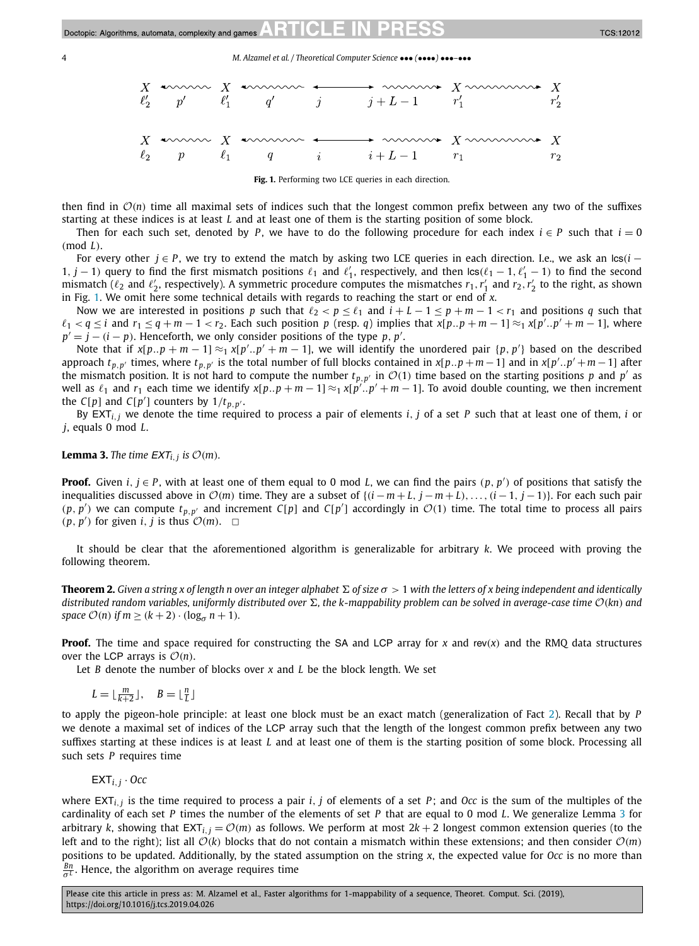<span id="page-3-0"></span>

Fig. 1. Performing two LCE queries in each direction.

then find in  $O(n)$  time all maximal sets of indices such that the longest common prefix between any two of the suffixes starting at these indices is at least *L* and at least one of them is the starting position of some block.

Then for each such set, denoted by *P*, we have to do the following procedure for each index  $i \in P$  such that  $i = 0$ *(*mod *L)*.

For every other *j* ∈ *P* , we try to extend the match by asking two LCE queries in each direction. I.e., we ask an lcs*(i* − 1*, j* − 1*)* query to find the first mismatch positions  $\ell_1$  and  $\ell'_1$ , respectively, and then  $\text{lcs}(\ell_1 - 1, \ell'_1 - 1)$  to find the second mismatch ( $\ell_2$  and  $\ell'_2$ , respectively). A symmetric procedure computes the mismatches  $r_1$ ,  $r'_1$  and  $r_2$ ,  $r'_2$  to the right, as shown in Fig. 1. We omit here some technical details with regards to reaching the start or end of *x*.

Now we are interested in positions *p* such that  $\ell_2 < p \leq \ell_1$  and  $i + L - 1 \leq p + m - 1 < r_1$  and positions *q* such that  $\ell_1 < q \le i$  and  $r_1 \le q+m-1 < r_2$ . Each such position p (resp. q) implies that  $x[p..p+m-1] \approx_1 x[p'..p'+m-1]$ , where  $p' = j - (i - p)$ . Henceforth, we only consider positions of the type *p*, *p*<sup>'</sup>.

Note that if  $x[p..p+m-1] \approx_1 x[p'..p'+m-1]$ , we will identify the unordered pair  $\{p, p'\}$  based on the described approach  $t_{p,p'}$  times, where  $t_{p,p'}$  is the total number of full blocks contained in  $x[p..p+m-1]$  and in  $x[p'..p'+m-1]$  after the mismatch position. It is not hard to compute the number  $t_{p,p'}$  in  $\mathcal{O}(1)$  time based on the starting positions *p* and *p'* as well as  $\ell_1$  and  $r_1$  each time we identify  $x[p..p+m-1] \approx_1 x[p'..p'+m-1]$ . To avoid double counting, we then increment the  $C[p]$  and  $C[p']$  counters by  $1/t_{p,p'}$ .

By EXT*i,<sup>j</sup>* we denote the time required to process a pair of elements *i, j* of a set *P* such that at least one of them, *i* or *j*, equals 0 mod *L*.

**Lemma 3.** *The time*  $EXT_{i,j}$  *is*  $\mathcal{O}(m)$ *.* 

**Proof.** Given  $i, j \in P$ , with at least one of them equal to 0 mod *L*, we can find the pairs  $(p, p')$  of positions that satisfy the inequalities discussed above in  $\mathcal{O}(m)$  time. They are a subset of  $\{(i-m+L, j-m+L), \ldots, (i-1, j-1)\}$ . For each such pair  $(p, p')$  we can compute  $t_{p, p'}$  and increment *C*[*p*] and *C*[*p'*] accordingly in  $O(1)$  time. The total time to process all pairs  $(p, p')$  for given *i*, *j* is thus  $O(m)$ .  $\Box$ 

It should be clear that the aforementioned algorithm is generalizable for arbitrary *k*. We proceed with proving the following theorem.

**Theorem 2.** Given a string x of length n over an integer alphabet  $\Sigma$  of size  $\sigma > 1$  with the letters of x being independent and identically distributed random variables, uniformly distributed over  $\Sigma$ , the k-mappability problem can be solved in average-case time  $\mathcal{O}(kn)$  and *space*  $O(n)$  *if*  $m \ge (k+2) \cdot (\log_{\sigma} n + 1)$ *.* 

**Proof.** The time and space required for constructing the SA and LCP array for *x* and rev*(x)* and the RMQ data structures over the LCP arrays is  $\mathcal{O}(n)$ .

Let *B* denote the number of blocks over *x* and *L* be the block length. We set

 $L = \lfloor \frac{m}{k+2} \rfloor, \quad B = \lfloor \frac{n}{L} \rfloor$ 

to apply the pigeon-hole principle: at least one block must be an exact match (generalization of Fact [2\)](#page-2-0). Recall that by *P* we denote a maximal set of indices of the LCP array such that the length of the longest common prefix between any two suffixes starting at these indices is at least *L* and at least one of them is the starting position of some block. Processing all such sets *P* requires time

EXT*i,<sup>j</sup>* · *Occ*

where  $EXT_{i,j}$  is the time required to process a pair  $i, j$  of elements of a set  $P$ ; and  $Occ$  is the sum of the multiples of the cardinality of each set *P* times the number of the elements of set *P* that are equal to 0 mod *L*. We generalize Lemma 3 for arbitrary *k*, showing that EXT<sub>*i*</sub>,*j* =  $\mathcal{O}(m)$  as follows. We perform at most  $2k + 2$  longest common extension queries (to the left and to the right); list all  $O(k)$  blocks that do not contain a mismatch within these extensions; and then consider  $O(m)$ positions to be updated. Additionally, by the stated assumption on the string *x*, the expected value for *Occ* is no more than *Bn <sup>σ</sup> <sup>L</sup>* . Hence, the algorithm on average requires time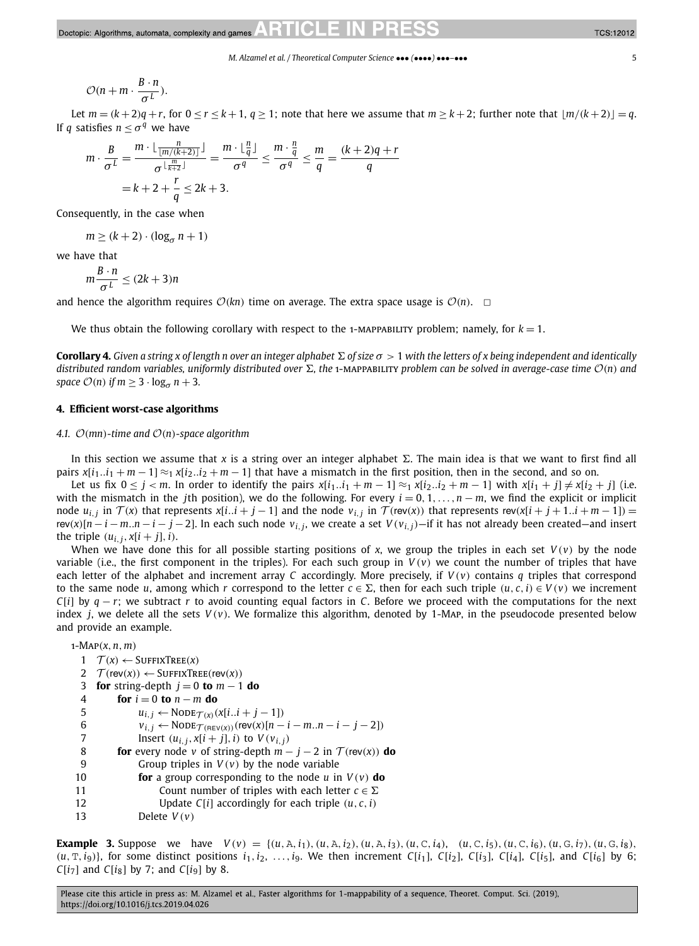<span id="page-4-0"></span>
$$
\mathcal{O}(n+m\cdot\frac{B\cdot n}{\sigma^L}).
$$

Let  $m = (k+2)q + r$ , for  $0 \le r \le k+1$ ,  $q \ge 1$ ; note that here we assume that  $m \ge k+2$ ; further note that  $\lfloor m/(k+2) \rfloor = q$ . If *q* satisfies  $n < \sigma^q$  we have

$$
m \cdot \frac{B}{\sigma^L} = \frac{m \cdot \lfloor \frac{n}{\lfloor m/(k+2) \rfloor} \rfloor}{\sigma^{\lfloor \frac{m}{k+2} \rfloor}} = \frac{m \cdot \lfloor \frac{n}{q} \rfloor}{\sigma^q} \le \frac{m \cdot \frac{n}{q}}{\sigma^q} \le \frac{m}{q} = \frac{(k+2)q + r}{q}
$$

$$
= k + 2 + \frac{r}{q} \le 2k + 3.
$$

Consequently, in the case when

$$
m \ge (k+2) \cdot (\log_{\sigma} n + 1)
$$

we have that

$$
m\frac{B\cdot n}{\sigma^L} \le (2k+3)n
$$

and hence the algorithm requires  $O(kn)$  time on average. The extra space usage is  $O(n)$ .  $\Box$ 

We thus obtain the following corollary with respect to the 1-MAPPABILITY problem; namely, for  $k = 1$ .

**Corollary 4.** Given a string x of length n over an integer alphabet  $\Sigma$  of size  $\sigma > 1$  with the letters of x being independent and identically distributed random variables, uniformly distributed over  $\Sigma$ , the 1-MAPPABILITY problem can be solved in average-case time  $\mathcal{O}(n)$  and *space*  $O(n)$  *if*  $m \geq 3 \cdot \log_{\sigma} n + 3$ *.* 

#### **4. Efficient worst-case algorithms**

#### *4.1.* O*(mn)-time and* O*(n)-space algorithm*

In this section we assume that  $x$  is a string over an integer alphabet  $\Sigma$ . The main idea is that we want to first find all pairs  $x[i_1..i_1 + m - 1] \approx 1$  *x*[*i*<sub>2</sub>..*i*<sub>2</sub> + *m* − 1] that have a mismatch in the first position, then in the second, and so on.

Let us fix  $0 \le j < m$ . In order to identify the pairs  $x[i_1..i_1 + m - 1] \approx 1$   $x[i_2..i_2 + m - 1]$  with  $x[i_1 + j] \ne x[i_2 + j]$  (i.e. with the mismatch in the *j*th position), we do the following. For every  $i = 0, 1, \ldots, n - m$ , we find the explicit or implicit node  $u_{i,j}$  in  $\mathcal{T}(x)$  that represents  $x[i..i + j - 1]$  and the node  $v_{i,j}$  in  $\mathcal{T}(\text{rev}(x))$  that represents  $\text{rev}(x[i + j + 1..i + m - 1]) =$ rev(x)[n - i - m..n - i - j - 2]. In each such node  $v_{i,j}$ , we create a set  $V(v_{i,j})$  - if it has not already been created - and insert the triple  $(u_i, i, x[i + j], i)$ .

When we have done this for all possible starting positions of *x*, we group the triples in each set  $V(v)$  by the node variable (i.e., the first component in the triples). For each such group in  $V(v)$  we count the number of triples that have each letter of the alphabet and increment array *C* accordingly. More precisely, if *V (v)* contains *q* triples that correspond to the same node *u*, among which *r* correspond to the letter  $c \in \Sigma$ , then for each such triple  $(u, c, i) \in V(v)$  we increment *C*[*i*] by *q* − *r*; we subtract *r* to avoid counting equal factors in *C*. Before we proceed with the computations for the next index *j*, we delete all the sets *V (v)*. We formalize this algorithm, denoted by 1-Map, in the pseudocode presented below and provide an example.

1-Map*(x,n,m)*

|    | $1 \quad \mathcal{T}(x) \leftarrow$ SUFFIXTREE(x)                                          |
|----|--------------------------------------------------------------------------------------------|
| 2  | $\mathcal{T}$ (rev(x)) $\leftarrow$ SUFFIXTREE(rev(x))                                     |
| 3  | <b>for</b> string-depth $j = 0$ to $m - 1$ do                                              |
| 4  | for $i = 0$ to $n - m$ do                                                                  |
| 5  | $u_{i,j} \leftarrow \text{Node}_{\mathcal{T}(x)}(x[ii + j - 1])$                           |
| 6  | $v_{i,j} \leftarrow \text{Node}_{\mathcal{T}(\text{REV}(x))}(\text{rev}(x)[n-i-mn-i-j-2])$ |
| 7  | Insert $(u_{i,j}, x[i+j], i)$ to $V(v_{i,j})$                                              |
| 8  | <b>for</b> every node v of string-depth $m - j - 2$ in $\mathcal{T}$ (rev(x)) <b>do</b>    |
| 9  | Group triples in $V(v)$ by the node variable                                               |
| 10 | <b>for</b> a group corresponding to the node u in $V(v)$ <b>do</b>                         |
| 11 | Count number of triples with each letter $c \in \Sigma$                                    |
| 12 | Update $C[i]$ accordingly for each triple $(u, c, i)$                                      |
| 13 | Delete $V(v)$                                                                              |

**Example 3.** Suppose we have  $V(v) = \{(u, \lambda, i_1), (u, \lambda, i_2), (u, \lambda, i_3), (u, C, i_4), (u, C, i_5), (u, C, i_6), (u, G, i_7), (u, G, i_8), (u, G, i_8)\}$  $(u, \text{T}, i_9)$ }, for some distinct positions  $i_1, i_2, \ldots, i_9$ . We then increment C[i<sub>1</sub>], C[i<sub>2</sub>], C[i<sub>3</sub>], C[i<sub>4</sub>], C[i<sub>5</sub>], and C[i<sub>6</sub>] by 6; *C*[ $i<sub>7</sub>$ ] and *C*[ $i<sub>8</sub>$ ] by 7; and *C*[ $i<sub>9</sub>$ ] by 8.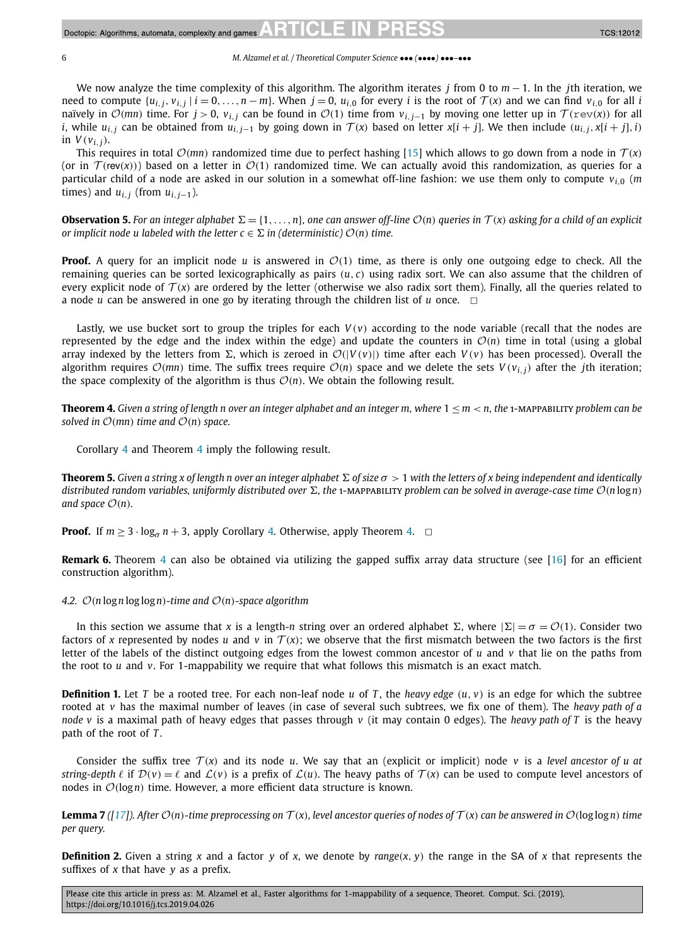We now analyze the time complexity of this algorithm. The algorithm iterates *j* from 0 to *m* − 1. In the *j*th iteration, we need to compute  $\{u_{i,j}, v_{i,j}\mid i = 0, \ldots, n-m\}$ . When  $j = 0$ ,  $u_{i,0}$  for every i is the root of  $\mathcal{T}(x)$  and we can find  $v_{i,0}$  for all i naïvely in  $\mathcal{O}(mn)$  time. For  $j > 0$ ,  $v_{i,j}$  can be found in  $\mathcal{O}(1)$  time from  $v_{i,j-1}$  by moving one letter up in  $\mathcal{T}(r \in v(x))$  for all *i*, while  $u_{i}$  can be obtained from  $u_{i}$   $_{i-1}$  by going down in  $\mathcal{T}(x)$  based on letter  $x[i + j]$ . We then include  $(u_{i}$   $_{i}$ ,  $x[i + j]$ , *i*) in  $V(v_{i,i})$ .

This requires in total  $O(mn)$  randomized time due to perfect hashing [\[15\]](#page-10-0) which allows to go down from a node in  $T(x)$ (or in  $\mathcal{T}$ (*rev(x)*)) based on a letter in  $\mathcal{O}(1)$  randomized time. We can actually avoid this randomization, as queries for a particular child of a node are asked in our solution in a somewhat off-line fashion: we use them only to compute  $v_i$ <sup>0</sup> (*m* times) and  $u_{i,j}$  (from  $u_{i,j-1}$ ).

**Observation 5.** For an integer alphabet  $\Sigma = \{1, ..., n\}$  one can answer off-line  $\mathcal{O}(n)$  queries in  $\mathcal{T}(x)$  asking for a child of an explicit *or implicit node u labeled* with the *letter*  $c \in \Sigma$  *in* (*deterministic*)  $O(n)$  *time.* 

**Proof.** A query for an implicit node *u* is answered in  $\mathcal{O}(1)$  time, as there is only one outgoing edge to check. All the remaining queries can be sorted lexicographically as pairs  $(u, c)$  using radix sort. We can also assume that the children of every explicit node of  $T(x)$  are ordered by the letter (otherwise we also radix sort them). Finally, all the queries related to a node *u* can be answered in one go by iterating through the children list of *u* once.  $\Box$ 

Lastly, we use bucket sort to group the triples for each  $V(v)$  according to the node variable (recall that the nodes are represented by the edge and the index within the edge) and update the counters in  $\mathcal{O}(n)$  time in total (using a global array indexed by the letters from  $\Sigma$ , which is zeroed in  $\mathcal{O}(|V(v)|)$  time after each  $V(v)$  has been processed). Overall the algorithm requires  $O(mn)$  time. The suffix trees require  $O(n)$  space and we delete the sets  $V(v_i)$  after the *j*th iteration; the space complexity of the algorithm is thus  $O(n)$ . We obtain the following result.

**Theorem 4.** Given a string of length n over an integer alphabet and an integer m, where  $1 < m < n$ , the 1-MAPPABILITY problem can be *solved in*  $O(mn)$  *time and*  $O(n)$  *space.* 

Corollary [4](#page-4-0) and Theorem 4 imply the following result.

**Theorem 5.** Given a string x of length n over an integer alphabet  $\Sigma$  of size  $\sigma > 1$  with the letters of x being independent and identically distributed random variables, uniformly distributed over  $\Sigma$ , the 1-MAPPABILITY problem can be solved in average-case time  $O(n \log n)$ *and space*  $\mathcal{O}(n)$ *.* 

**Proof.** If  $m \geq 3 \cdot \log_{\sigma} n + 3$ , apply Corollary [4.](#page-4-0) Otherwise, apply Theorem 4.  $\Box$ 

**Remark 6.** Theorem 4 can also be obtained via utilizing the gapped suffix array data structure (see [\[16\]](#page-10-0) for an efficient construction algorithm).

#### *4.2.* O*(<sup>n</sup>* log*<sup>n</sup>* log log*n)-time and* O*(n)-space algorithm*

In this section we assume that *x* is a length-*n* string over an ordered alphabet Σ, where  $|\Sigma| = \sigma = \mathcal{O}(1)$ . Consider two factors of x represented by nodes *u* and *v* in  $T(x)$ ; we observe that the first mismatch between the two factors is the first letter of the labels of the distinct outgoing edges from the lowest common ancestor of *u* and *v* that lie on the paths from the root to *u* and *v*. For 1-mappability we require that what follows this mismatch is an exact match.

**Definition 1.** Let *T* be a rooted tree. For each non-leaf node *u* of *T*, the *heavy edge*  $(u, v)$  is an edge for which the subtree rooted at *v* has the maximal number of leaves (in case of several such subtrees, we fix one of them). The *heavy path of a node v* is a maximal path of heavy edges that passes through *v* (it may contain 0 edges). The *heavy path of T* is the heavy path of the root of *T* .

Consider the suffix tree  $T(x)$  and its node *u*. We say that an (explicit or implicit) node *v* is a *level* ancestor of *u* at *string-depth*  $\ell$  if  $\mathcal{D}(v) = \ell$  and  $\mathcal{L}(v)$  is a prefix of  $\mathcal{L}(u)$ . The heavy paths of  $\mathcal{T}(x)$  can be used to compute level ancestors of nodes in O*(*log*n)* time. However, <sup>a</sup> more efficient data structure is known.

**Lemma 7** ([\[17\]](#page-10-0)). After  $\mathcal{O}(n)$ -time preprocessing on  $\mathcal{T}(x)$ , level ancestor queries of nodes of  $\mathcal{T}(x)$  can be answered in  $\mathcal{O}(\log \log n)$  time *per query.*

**Definition 2.** Given a string *x* and a factor *y* of *x*, we denote by  $range(x, y)$  the range in the SA of *x* that represents the suffixes of *x* that have *y* as a prefix.

Please cite this article in press as: M. Alzamel et al., Faster algorithms for 1-mappability of a sequence, Theoret. Comput. Sci. (2019), https://doi.org/10.1016/j.tcs.2019.04.026

<span id="page-5-0"></span>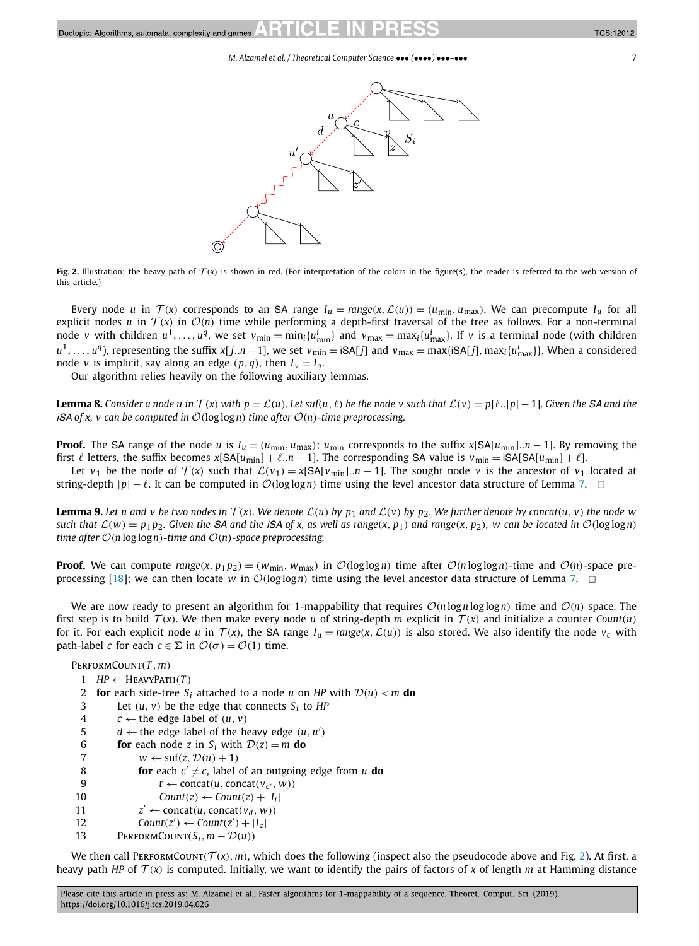<span id="page-6-0"></span>

**Fig. 2.** Illustration; the heavy path of  $T(x)$  is shown in red. (For interpretation of the colors in the figure(s), the reader is referred to the web version of this article.)

Every node u in  $\mathcal{T}(x)$  corresponds to an SA range  $I_u = range(x, \mathcal{L}(u)) = (u_{min}, u_{max})$ . We can precompute  $I_u$  for all explicit nodes *u* in  $T(x)$  in  $O(n)$  time while performing a depth-first traversal of the tree as follows. For a non-terminal node *v* with children  $u^1,\ldots,u^q$ , we set  $v_{\min}=\min_i\{u^i_{\min}\}$  and  $v_{\max}=\max_i\{u^i_{\max}\}.$  If  $v$  is a terminal node (with children  $u^1,\ldots,u^q$ ), representing the suffix x[j..n  $-$  1], we set  $v_{\min} =$  iSA[j] and  $v_{\max} =$  max{iSA[j], max<sub>i</sub>{u<sub>max</sub>}}. When a considered node *v* is implicit, say along an edge  $(p, q)$ , then  $I_v = I_q$ .

Our algorithm relies heavily on the following auxiliary lemmas.

**Lemma 8.** Consider a node u in  $T(x)$  with  $p = \mathcal{L}(u)$ . Let suf(u,  $\ell$ ) be the node v such that  $\mathcal{L}(v) = p[\ell..|p|-1]$ . Given the SA and the *iSA of x, v can be computed in* O*(*log log*n) time after* O*(n)-time preprocessing.*

**Proof.** The SA range of the node *u* is  $I_u = (u_{\min}, u_{\max})$ ;  $u_{\min}$  corresponds to the suffix  $x[SA[u_{\min}]$ .*n* − 1]. By removing the first  $\ell$  letters, the suffix becomes  $x[SA[u_{min}] + \ell..n - 1]$ . The corresponding SA value is  $v_{min} = iSA[SA[u_{min}] + \ell.]$ .

Let *v*<sub>1</sub> be the node of  $\mathcal{T}(x)$  such that  $\mathcal{L}(v_1) = x[\mathsf{SA}[v_{\text{min}}]$ . *n* − 1]. The sought node *v* is the ancestor of *v*<sub>1</sub> located at string-depth  $|p| - \ell$ . It can be computed in  $\mathcal{O}(\log \log n)$  time using the level ancestor data structure of Lemma [7.](#page-5-0)  $\Box$ 

**Lemma 9.** Let u and v be two nodes in  $T(x)$ . We denote  $L(u)$  by  $p_1$  and  $L(v)$  by  $p_2$ . We further denote by concat $(u, v)$  the node w such that  $\mathcal{L}(w) = p_1 p_2$ . Given the SA and the iSA of x, as well as range(x, p<sub>1</sub>) and range(x, p<sub>2</sub>), w can be located in  $\mathcal{O}(\log \log n)$ *time after*  $O(n \log \log n)$ *-time and*  $O(n)$ *-space preprocessing.* 

**Proof.** We can compute  $range(x, p_1p_2) = (w_{min}, w_{max})$  in  $\mathcal{O}(\log \log n)$  time after  $\mathcal{O}(n \log \log n)$ -time and  $\mathcal{O}(n)$ -space pre-processing [\[18\]](#page-10-0); we can then locate *w* in  $O(log log n)$  time using the level ancestor data structure of Lemma [7.](#page-5-0)  $\Box$ 

We are now ready to present an algorithm for 1-mappability that requires  $O(n \log n \log \log n)$  time and  $O(n)$  space. The first step is to build  $T(x)$ . We then make every node *u* of string-depth *m* explicit in  $T(x)$  and initialize a counter *Count*(*u*) for it. For each explicit node *u* in  $T(x)$ , the SA range  $I_u = \text{range}(x, \mathcal{L}(u))$  is also stored. We also identify the node  $v_c$  with path-label *c* for each  $c \in \Sigma$  in  $\mathcal{O}(\sigma) = \mathcal{O}(1)$  time.

PerformCount*(T ,m)*

- $1$  *HP*  $\leftarrow$  HEAVYPATH $(T)$
- 2 **for** each side-tree  $S_i$  attached to a node *u* on *HP* with  $\mathcal{D}(u) < m$  **do**<br>3 Let  $(u, v)$  be the edge that connects  $S_i$  to *HP*
- Let  $(u, v)$  be the edge that connects  $S_i$  to *HP*
- 4 *c* ← the edge label of *(u, v)*
- 5  $d \leftarrow$  the edge label of the heavy edge  $(u, u')$
- 6 **for** each node *z* in  $S_i$  with  $D(z) = m$  **do**  $W \leftarrow \text{snf}(z, D(u) + 1)$
- 7 *w* ← suf(*z*,  $D(u) + 1$ )<br>8 **for** each *c'* ≠ *c*, label
	- **for** each  $c' \neq c$ , label of an outgoing edge from *u* **do**
- 9  $t \leftarrow \text{concat}(u, \text{concat}(v_{c'}, w))$
- 10  $Count(z) \leftarrow Count(z) + |I_t|$
- 11  $z' \leftarrow \text{concat}(u, \text{concat}(v_d, w))$
- 12  $Count(z') \leftarrow Count(z') + |I_z|$
- 13 PERFORMCOUNT $(S_i, m D(u))$

We then call PERFORMCOUNT( $T(x)$ ,  $m$ ), which does the following (inspect also the pseudocode above and Fig. 2). At first, a heavy path *HP* of  $T(x)$  is computed. Initially, we want to identify the pairs of factors of x of length *m* at Hamming distance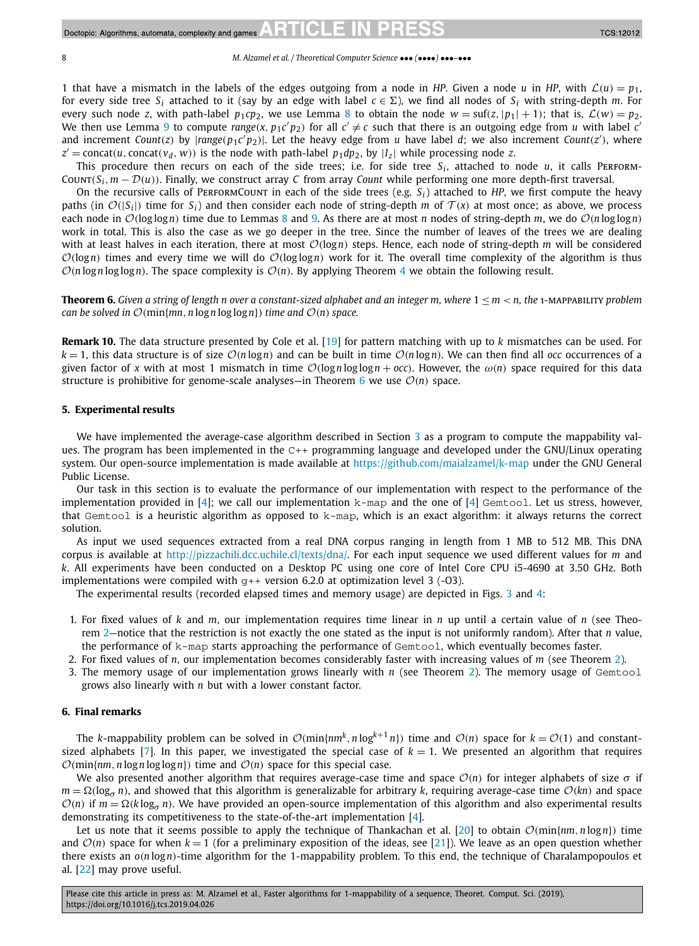1 that have a mismatch in the labels of the edges outgoing from a node in *HP*. Given a node *u* in *HP*, with  $\mathcal{L}(u) = p_1$ , for every side tree  $S_i$  attached to it (say by an edge with label  $c \in \Sigma$ ), we find all nodes of  $S_i$  with string-depth *m*. For every such node *z*, with path-label  $p_1cp_2$ , we use Lemma [8](#page-6-0) to obtain the node  $w = \text{snf}(z, |p_1| + 1)$ ; that is,  $\mathcal{L}(w) = p_2$ . We then use Lemma [9](#page-6-0) to compute *range*(*x*,  $p_1c'p_2$ ) for all  $c' \neq c$  such that there is an outgoing edge from *u* with label *c*<sup>*'*</sup> and increment Count(z) by  $|range(p_1c'p_2)|$ . Let the heavy edge from u have label d; we also increment Count(z'), where  $z' = \text{concat}(u, \text{concat}(v_d, w))$  is the node with path-label  $p_1 dp_2$ , by  $|I_z|$  while processing node *z*.

This procedure then recurs on each of the side trees; i.e. for side tree  $S_i$ , attached to node  $u$ , it calls PERFORM-COUNT $(S_i, m - \mathcal{D}(u))$ . Finally, we construct array *C* from array *Count* while performing one more depth-first traversal.

On the recursive calls of PERFORMCOUNT in each of the side trees (e.g.  $S_i$ ) attached to *HP*, we first compute the heavy paths (in  $\mathcal{O}(|S_i|)$  time for  $S_i$ ) and then consider each node of string-depth *m* of  $\mathcal{T}(x)$  at most once; as above, we process each node in  $\mathcal{O}(\log \log n)$  time due to Lemmas [8](#page-6-0) and [9.](#page-6-0) As there are at most *n* nodes of string-depth *m*, we do  $\mathcal{O}(n \log \log n)$ work in total. This is also the case as we go deeper in the tree. Since the number of leaves of the trees we are dealing with at least halves in each iteration, there at most O*(*log*n)* steps. Hence, each node of string-depth *<sup>m</sup>* will be considered  $O(log n)$  times and every time we will do  $O(log log n)$  work for it. The overall time complexity of the algorithm is thus  $O(n \log n \log \log n)$ . The space complexity is  $O(n)$ . By applying Theorem [4](#page-5-0) we obtain the following result.

**Theorem 6.** Given a string of length n over a constant-sized alphabet and an integer m, where  $1 < m < n$ , the 1-MAPPABILITY problem *can be solved in*  $\mathcal{O}(\min\{mn, n \log n \log \log n\})$  *time and*  $\mathcal{O}(n)$  *space.* 

**Remark 10.** The data structure presented by Cole et al. [\[19\]](#page-10-0) for pattern matching with up to *k* mismatches can be used. For  $k = 1$ , this data structure is of size  $O(n \log n)$  and can be built in time  $O(n \log n)$ . We can then find all *occ* occurrences of a given factor of *x* with at most 1 mismatch in time  $\mathcal{O}(\log n \log \log n + occ)$ . However, the  $\omega(n)$  space required for this data structure is prohibitive for genome-scale analyses—in Theorem 6 we use  $O(n)$  space.

#### **5. Experimental results**

We have implemented the average-case algorithm described in Section [3](#page-2-0) as a program to compute the mappability values. The program has been implemented in the C++ programming language and developed under the GNU/Linux operating system. Our open-source implementation is made available at <https://github.com/maialzamel/k-map> under the GNU General Public License.

Our task in this section is to evaluate the performance of our implementation with respect to the performance of the implementation provided in [\[4\]](#page-9-0); we call our implementation  $k$ -map and the one of [4] Gemtool. Let us stress, however, that Gemtool is a heuristic algorithm as opposed to k-map, which is an exact algorithm: it always returns the correct solution.

As input we used sequences extracted from a real DNA corpus ranging in length from 1 MB to 512 MB. This DNA corpus is available at <http://pizzachili.dcc.uchile.cl/texts/dna/>. For each input sequence we used different values for *m* and *k*. All experiments have been conducted on a Desktop PC using one core of Intel Core CPU i5-4690 at 3.50 GHz. Both implementations were compiled with  $g++$  version 6.2.0 at optimization level 3 (-03).

The experimental results (recorded elapsed times and memory usage) are depicted in Figs. [3](#page-8-0) and [4:](#page-9-0)

- 1. For fixed values of *k* and *m*, our implementation requires time linear in *n* up until a certain value of *n* (see Theorem [2—](#page-3-0)notice that the restriction is not exactly the one stated as the input is not uniformly random). After that *n* value, the performance of k-map starts approaching the performance of Gemtool, which eventually becomes faster.
- 2. For fixed values of *n*, our implementation becomes considerably faster with increasing values of *m* (see Theorem [2\)](#page-3-0).
- 3. The memory usage of our implementation grows linearly with *n* (see Theorem [2\)](#page-3-0). The memory usage of Gemtool grows also linearly with *n* but with a lower constant factor.

#### **6. Final remarks**

The *k*-mappability problem can be solved in  $\mathcal{O}(m n \{nm^k, n \log^{k+1} n\})$  time and  $\mathcal{O}(n)$  space for  $k = \mathcal{O}(1)$  and constant-sized alphabets [\[7\]](#page-9-0). In this paper, we investigated the special case of  $k = 1$ . We presented an algorithm that requires  $\mathcal{O}(\text{min}\{nm, n \log n \log \log n\})$  time and  $\mathcal{O}(n)$  space for this special case.

We also presented another algorithm that requires average-case time and space O*(n)* for integer alphabets of size *σ* if  $m = \Omega(\log_{\sigma} n)$ , and showed that this algorithm is generalizable for arbitrary *k*, requiring average-case time  $O(kn)$  and space  $O(n)$  if  $m = \Omega(k \log_{q} n)$ . We have provided an open-source implementation of this algorithm and also experimental results demonstrating its competitiveness to the state-of-the-art implementation [\[4\]](#page-9-0).

Let us note that it seems possible to apply the technique of Thankachan et al. [\[20\]](#page-10-0) to obtain  $\mathcal{O}(\min\{nm, n \log n\})$  time and  $\mathcal{O}(n)$  space for when  $k = 1$  (for a preliminary exposition of the ideas, see [\[21\]](#page-10-0)). We leave as an open question whether there exists an *o(n* log*n)*-time algorithm for the 1-mappability problem. To this end, the technique of Charalampopoulos et al. [\[22\]](#page-10-0) may prove useful.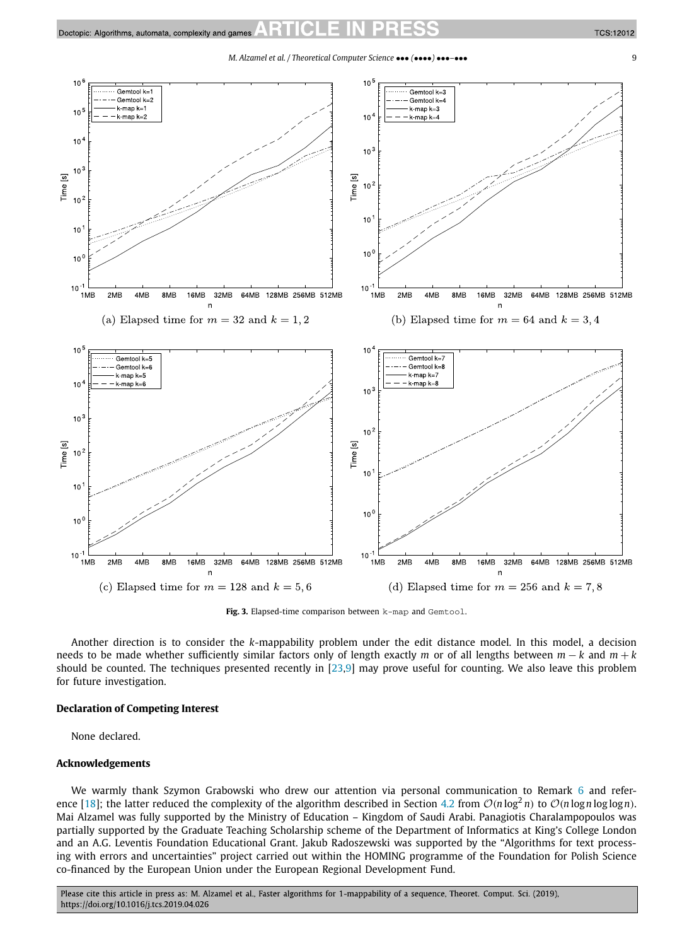*M. Alzamel et al. / Theoretical Computer Science* ••• *(*••••*)* •••*–*••• 9

<span id="page-8-0"></span>

**Fig. 3.** Elapsed-time comparison between k-map and Gemtool.

Another direction is to consider the *k*-mappability problem under the edit distance model. In this model, a decision needs to be made whether sufficiently similar factors only of length exactly *m* or of all lengths between *m* − *k* and *m* + *k* should be counted. The techniques presented recently in [\[23,9\]](#page-10-0) may prove useful for counting. We also leave this problem for future investigation.

#### **Declaration of Competing Interest**

None declared.

#### **Acknowledgements**

We warmly thank Szymon Grabowski who drew our attention via personal communication to Remark [6](#page-5-0) and refer-ence [\[18\]](#page-10-0); the latter reduced the complexity of the algorithm described in Section [4.2](#page-5-0) from  $O(n \log^2 n)$  to  $O(n \log n \log \log n)$ . Mai Alzamel was fully supported by the Ministry of Education – Kingdom of Saudi Arabi. Panagiotis Charalampopoulos was partially supported by the Graduate Teaching Scholarship scheme of the Department of Informatics at King's College London and an A.G. Leventis Foundation Educational Grant. Jakub Radoszewski was supported by the "Algorithms for text processing with errors and uncertainties" project carried out within the HOMING programme of the Foundation for Polish Science co-financed by the European Union under the European Regional Development Fund.

Please cite this article in press as: M. Alzamel et al., Faster algorithms for 1-mappability of a sequence, Theoret. Comput. Sci. (2019), https://doi.org/10.1016/j.tcs.2019.04.026

**TCS:12012**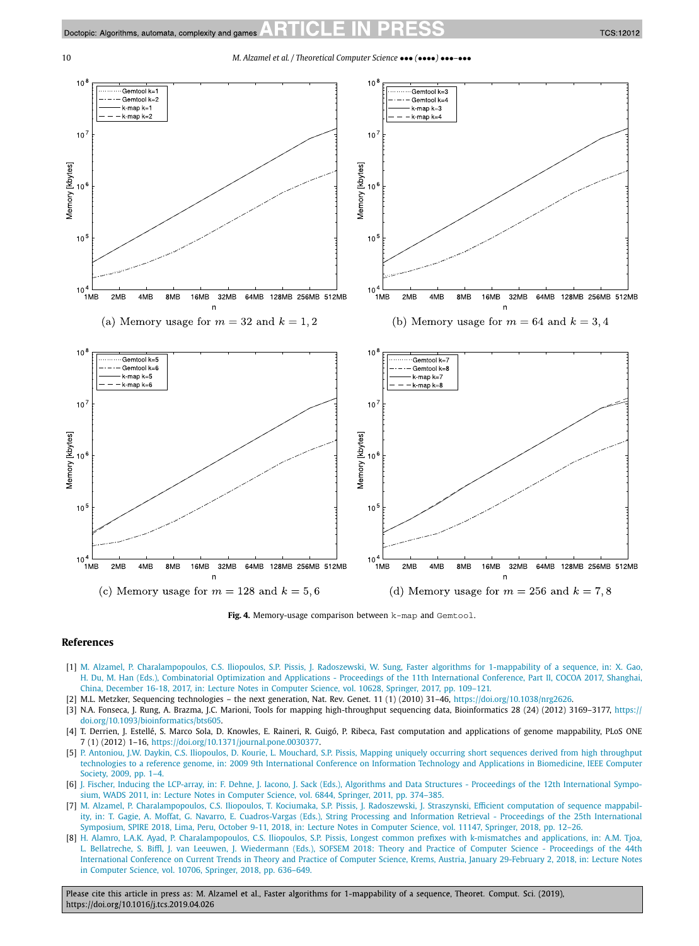<span id="page-9-0"></span>

**Fig. 4.** Memory-usage comparison between k-map and Gemtool.

#### **References**

- [1] M. Alzamel, P. [Charalampopoulos,](http://refhub.elsevier.com/S0304-3975(19)30314-7/bib31302E313030372F3937382D332D3331392D37313134372D385F38s1) C.S. Iliopoulos, S.P. Pissis, J. Radoszewski, W. Sung, Faster algorithms for 1-mappability of a sequence, in: X. Gao, H. Du, M. Han (Eds.), [Combinatorial](http://refhub.elsevier.com/S0304-3975(19)30314-7/bib31302E313030372F3937382D332D3331392D37313134372D385F38s1) Optimization and Applications - Proceedings of the 11th International Conference, Part II, COCOA 2017, Shanghai, China, December 16-18, 2017, in: Lecture Notes in Computer Science, vol. 10628, Springer, 2017, [pp. 109–121.](http://refhub.elsevier.com/S0304-3975(19)30314-7/bib31302E313030372F3937382D332D3331392D37313134372D385F38s1)
- [2] M.L. Metzker, Sequencing technologies the next generation, Nat. Rev. Genet. 11 (1) (2010) 31–46, [https://doi.org/10.1038/nrg2626.](https://doi.org/10.1038/nrg2626)
- [3] N.A. Fonseca, J. Rung, A. Brazma, J.C. Marioni, Tools for mapping high-throughput sequencing data, Bioinformatics 28 (24) (2012) 3169–3177, [https://](https://doi.org/10.1093/bioinformatics/bts605) [doi.org/10.1093/bioinformatics/bts605](https://doi.org/10.1093/bioinformatics/bts605).
- [4] T. Derrien, J. Estellé, S. Marco Sola, D. Knowles, E. Raineri, R. Guigó, P. Ribeca, Fast computation and applications of genome mappability, PLoS ONE 7 (1) (2012) 1–16, [https://doi.org/10.1371/journal.pone.0030377.](https://doi.org/10.1371/journal.pone.0030377)
- [5] P. Antoniou, J.W. Daykin, C.S. Iliopoulos, D. Kourie, L. Mouchard, S.P. Pissis, Mapping uniquely occurring short sequences derived from high [throughput](http://refhub.elsevier.com/S0304-3975(19)30314-7/bib4954414232303039s1) technologies to a reference genome, in: 2009 9th [International](http://refhub.elsevier.com/S0304-3975(19)30314-7/bib4954414232303039s1) Conference on Information Technology and Applications in Biomedicine, IEEE Computer Society, 2009, [pp. 1–4.](http://refhub.elsevier.com/S0304-3975(19)30314-7/bib4954414232303039s1)
- [6] J. Fischer, Inducing the LCP-array, in: F. Dehne, J. Iacono, J. Sack (Eds.), Algorithms and Data Structures  [Proceedings](http://refhub.elsevier.com/S0304-3975(19)30314-7/bib696E644C4350s1) of the 12th International Symposium, WADS 2011, in: Lecture Notes in Computer Science, vol. 6844, Springer, 2011, [pp. 374–385.](http://refhub.elsevier.com/S0304-3975(19)30314-7/bib696E644C4350s1)
- [7] M. Alzamel, P. [Charalampopoulos,](http://refhub.elsevier.com/S0304-3975(19)30314-7/bib44424C503A636F6E662F73706972652F416C7A616D656C43494B5052533138s1) C.S. Iliopoulos, T. Kociumaka, S.P. Pissis, J. Radoszewski, J. Straszynski, Efficient computation of sequence mappability, in: T. Gagie, A. Moffat, G. Navarro, E. [Cuadros-Vargas](http://refhub.elsevier.com/S0304-3975(19)30314-7/bib44424C503A636F6E662F73706972652F416C7A616D656C43494B5052533138s1) (Eds.), String Processing and Information Retrieval - Proceedings of the 25th International [Symposium,](http://refhub.elsevier.com/S0304-3975(19)30314-7/bib44424C503A636F6E662F73706972652F416C7A616D656C43494B5052533138s1) SPIRE 2018, Lima, Peru, October 9-11, 2018, in: Lecture Notes in Computer Science, vol. 11147, Springer, 2018, pp. 12–26.
- [8] H. Alamro, L.A.K. Ayad, P. [Charalampopoulos,](http://refhub.elsevier.com/S0304-3975(19)30314-7/bib44424C503A636F6E662F736F6673656D2F416C616D726F414349503138s1) C.S. Iliopoulos, S.P. Pissis, Longest common prefixes with k-mismatches and applications, in: A.M. Tjoa, L. Bellatreche, S. Biffl, J. van Leeuwen, J. Wiedermann (Eds.), SOFSEM 2018: Theory and Practice of Computer Science [- Proceedings](http://refhub.elsevier.com/S0304-3975(19)30314-7/bib44424C503A636F6E662F736F6673656D2F416C616D726F414349503138s1) of the 44th [International](http://refhub.elsevier.com/S0304-3975(19)30314-7/bib44424C503A636F6E662F736F6673656D2F416C616D726F414349503138s1) Conference on Current Trends in Theory and Practice of Computer Science, Krems, Austria, January 29-February 2, 2018, in: Lecture Notes in Computer Science, vol. 10706, Springer, 2018, [pp. 636–649.](http://refhub.elsevier.com/S0304-3975(19)30314-7/bib44424C503A636F6E662F736F6673656D2F416C616D726F414349503138s1)

Please cite this article in press as: M. Alzamel et al., Faster algorithms for 1-mappability of a sequence, Theoret. Comput. Sci. (2019), https://doi.org/10.1016/j.tcs.2019.04.026